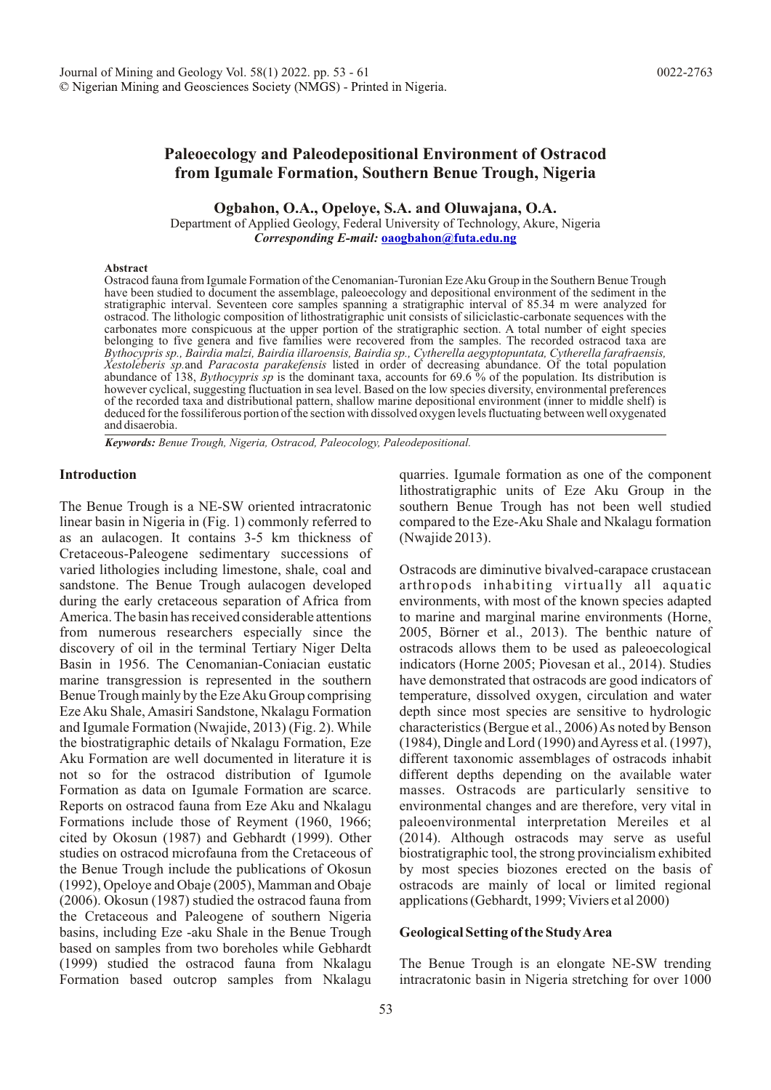# **Paleoecology and Paleodepositional Environment of Ostracod from Igumale Formation, Southern Benue Trough, Nigeria**

**Ogbahon, O.A., Opeloye, S.A. and Oluwajana, O.A.**

Department of Applied Geology, Federal University of Technology, Akure, Nigeria *Corresponding E-mail:* **[oaogbahon@futa.edu.ng](http://gw-chimie.math.unibuc.ro/anunivch/2006-2/AUBCh2006XV21519.pdf)**

#### **Abstract**

. and disaerobia Ostracod fauna from Igumale Formation of the Cenomanian-Turonian Eze Aku Group in the Southern Benue Trough have been studied to document the assemblage, paleoecology and depositional environment of the sediment in the stratigraphic interval. Seventeen core samples spanning a stratigraphic interval of 85.34 m were analyzed for ostracod. The lithologic composition of lithostratigraphic unit consists of siliciclastic-carbonate sequences with the carbonates more conspicuous at the upper portion of the stratigraphic section. A total number of eight species belonging to five genera and five families were recovered from the samples. The recorded ostracod taxa are *Bythocypris sp., Bairdia malzi, Bairdia illaroensis, Bairdia sp., Cytherella aegyptopuntata, Cytherella farafraensis, Xestoleberis sp.*and *Paracosta parakefensis* listed in order of decreasing abundance. Of the total population abundance of 138, *Bythocypris sp* is the dominant taxa, accounts for 69.6 % of the population. Its distribution is however cyclical, suggesting fluctuation in sea level. Based on the low species diversity, environmental preferences of the recorded taxa and distributional pattern, shallow marine depositional environment (inner to middle shelf) is deduced for the fossiliferous portion of the section with dissolved oxygen levels fluctuating between well oxygenated

*Keywords: Benue Trough, Nigeria, Ostracod, Paleocology, Paleodepositional.*

# **Introduction**

The Benue Trough is a NE-SW oriented intracratonic linear basin in Nigeria in (Fig. 1) commonly referred to as an aulacogen. It contains 3-5 km thickness of Cretaceous-Paleogene sedimentary successions of varied lithologies including limestone, shale, coal and sandstone. The Benue Trough aulacogen developed during the early cretaceous separation of Africa from America. The basin has received considerable attentions from numerous researchers especially since the discovery of oil in the terminal Tertiary Niger Delta Basin in 1956. The Cenomanian-Coniacian eustatic marine transgression is represented in the southern Benue Trough mainly by the Eze Aku Group comprising Eze Aku Shale, Amasiri Sandstone, Nkalagu Formation and Igumale Formation (Nwajide, 2013) (Fig. 2). While the biostratigraphic details of Nkalagu Formation, Eze Aku Formation are well documented in literature it is not so for the ostracod distribution of Igumole Formation as data on Igumale Formation are scarce. Reports on ostracod fauna from Eze Aku and Nkalagu Formations include those of Reyment (1960, 1966; cited by Okosun (1987) and Gebhardt (1999). Other studies on ostracod microfauna from the Cretaceous of the Benue Trough include the publications of Okosun (1992), Opeloye and Obaje (2005), Mamman and Obaje (2006). Okosun (1987) studied the ostracod fauna from the Cretaceous and Paleogene of southern Nigeria basins, including Eze -aku Shale in the Benue Trough based on samples from two boreholes while Gebhardt (1999) studied the ostracod fauna from Nkalagu Formation based outcrop samples from Nkalagu

quarries. Igumale formation as one of the component lithostratigraphic units of Eze Aku Group in the southern Benue Trough has not been well studied compared to the Eze-Aku Shale and Nkalagu formation (Nwajide 2013).

Ostracods are diminutive bivalved-carapace crustacean arthropods inhabiting virtually all aquatic environments, with most of the known species adapted to marine and marginal marine environments (Horne, 2005, Börner et al., 2013). The benthic nature of ostracods allows them to be used as paleoecological indicators (Horne 2005; Piovesan et al., 2014). Studies have demonstrated that ostracods are good indicators of temperature, dissolved oxygen, circulation and water depth since most species are sensitive to hydrologic characteristics (Bergue et al., 2006) As noted by Benson (1984), Dingle and Lord (1990) and Ayress et al. (1997), different taxonomic assemblages of ostracods inhabit different depths depending on the available water masses. Ostracods are particularly sensitive to environmental changes and are therefore, very vital in paleoenvironmental interpretation Mereiles et al (2014). Although ostracods may serve as useful biostratigraphic tool, the strong provincialism exhibited by most species biozones erected on the basis of ostracods are mainly of local or limited regional applications (Gebhardt, 1999; Viviers et al 2000)

# **Geological Setting of the Study Area**

The Benue Trough is an elongate NE-SW trending intracratonic basin in Nigeria stretching for over 1000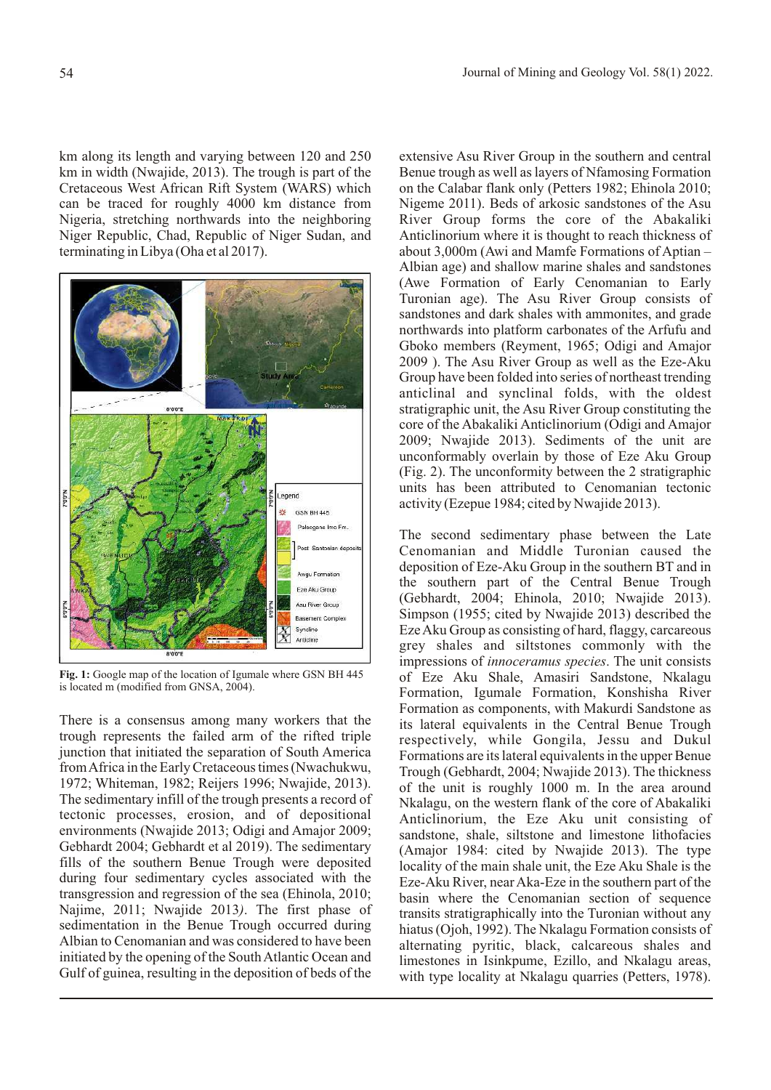km along its length and varying between 120 and 250 km in width (Nwajide, 2013). The trough is part of the Cretaceous West African Rift System (WARS) which can be traced for roughly 4000 km distance from Nigeria, stretching northwards into the neighboring Niger Republic, Chad, Republic of Niger Sudan, and terminating in Libya (Oha et al 2017).



**Fig. 1:** Google map of the location of Igumale where GSN BH 445 is located m (modified from GNSA, 2004).

There is a consensus among many workers that the trough represents the failed arm of the rifted triple junction that initiated the separation of South America from Africa in the Early Cretaceous times (Nwachukwu, 1972; Whiteman, 1982; Reijers 1996; Nwajide, 2013). The sedimentary infill of the trough presents a record of tectonic processes, erosion, and of depositional environments (Nwajide 2013; Odigi and Amajor 2009; Gebhardt 2004; Gebhardt et al 2019). The sedimentary fills of the southern Benue Trough were deposited during four sedimentary cycles associated with the transgression and regression of the sea (Ehinola, 2010; Najime, 2011; Nwajide 2013*)*. The first phase of sedimentation in the Benue Trough occurred during Albian to Cenomanian and was considered to have been initiated by the opening of the South Atlantic Ocean and Gulf of guinea, resulting in the deposition of beds of the extensive Asu River Group in the southern and central Benue trough as well as layers of Nfamosing Formation on the Calabar flank only (Petters 1982; Ehinola 2010; Nigeme 2011). Beds of arkosic sandstones of the Asu River Group forms the core of the Abakaliki Anticlinorium where it is thought to reach thickness of about 3,000m (Awi and Mamfe Formations of Aptian – Albian age) and shallow marine shales and sandstones (Awe Formation of Early Cenomanian to Early Turonian age). The Asu River Group consists of sandstones and dark shales with ammonites, and grade northwards into platform carbonates of the Arfufu and Gboko members (Reyment, 1965; Odigi and Amajor 2009 ). The Asu River Group as well as the Eze-Aku Group have been folded into series of northeast trending anticlinal and synclinal folds, with the oldest stratigraphic unit, the Asu River Group constituting the core of the Abakaliki Anticlinorium (Odigi and Amajor 2009; Nwajide 2013). Sediments of the unit are unconformably overlain by those of Eze Aku Group (Fig. 2). The unconformity between the 2 stratigraphic units has been attributed to Cenomanian tectonic activity (Ezepue 1984; cited by Nwajide 2013).

The second sedimentary phase between the Late Cenomanian and Middle Turonian caused the deposition of Eze-Aku Group in the southern BT and in the southern part of the Central Benue Trough (Gebhardt, 2004; Ehinola, 2010; Nwajide 2013). Simpson (1955; cited by Nwajide 2013) described the Eze Aku Group as consisting of hard, flaggy, carcareous grey shales and siltstones commonly with the impressions of *innoceramus species*. The unit consists of Eze Aku Shale, Amasiri Sandstone, Nkalagu Formation, Igumale Formation, Konshisha River Formation as components, with Makurdi Sandstone as its lateral equivalents in the Central Benue Trough respectively, while Gongila, Jessu and Dukul Formations are its lateral equivalents in the upper Benue Trough (Gebhardt, 2004; Nwajide 2013). The thickness of the unit is roughly 1000 m. In the area around Nkalagu, on the western flank of the core of Abakaliki Anticlinorium, the Eze Aku unit consisting of sandstone, shale, siltstone and limestone lithofacies (Amajor 1984: cited by Nwajide 2013). The type locality of the main shale unit, the Eze Aku Shale is the Eze-Aku River, near Aka-Eze in the southern part of the basin where the Cenomanian section of sequence transits stratigraphically into the Turonian without any hiatus (Ojoh, 1992). The Nkalagu Formation consists of alternating pyritic, black, calcareous shales and limestones in Isinkpume, Ezillo, and Nkalagu areas, with type locality at Nkalagu quarries (Petters, 1978).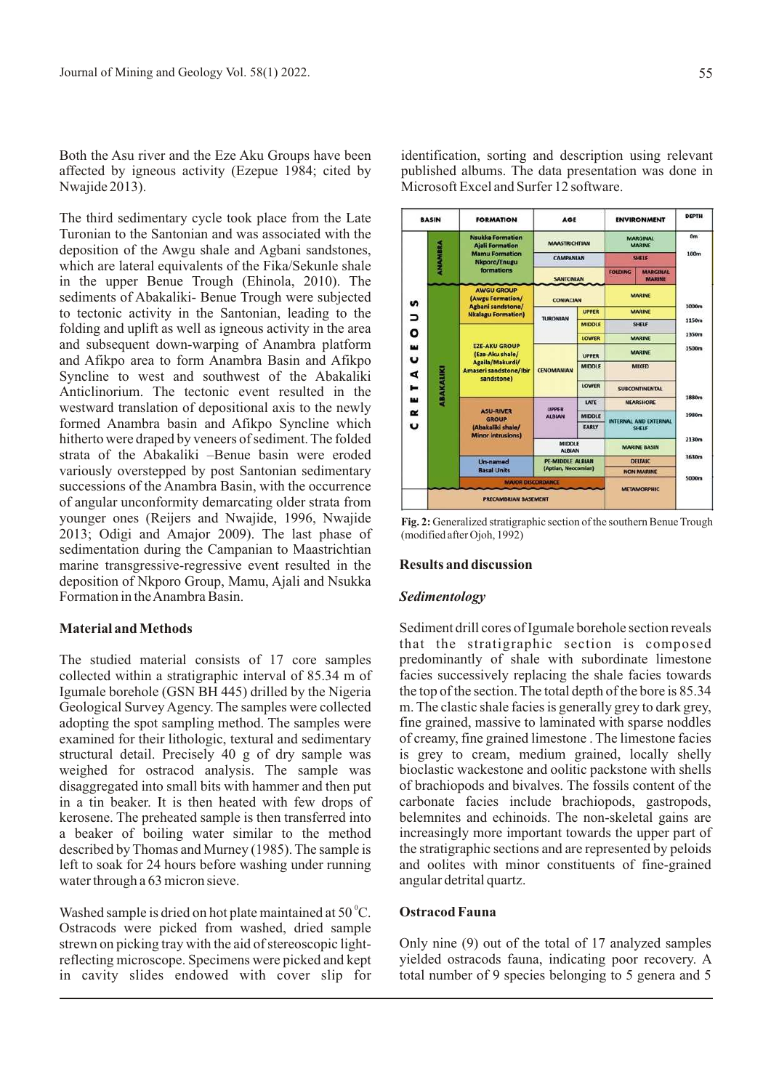Both the Asu river and the Eze Aku Groups have been affected by igneous activity (Ezepue 1984; cited by Nwajide 2013).

The third sedimentary cycle took place from the Late Turonian to the Santonian and was associated with the deposition of the Awgu shale and Agbani sandstones, which are lateral equivalents of the Fika/Sekunle shale in the upper Benue Trough (Ehinola, 2010). The sediments of Abakaliki- Benue Trough were subjected to tectonic activity in the Santonian, leading to the folding and uplift as well as igneous activity in the area and subsequent down-warping of Anambra platform and Afikpo area to form Anambra Basin and Afikpo Syncline to west and southwest of the Abakaliki Anticlinorium. The tectonic event resulted in the westward translation of depositional axis to the newly formed Anambra basin and Afikpo Syncline which hitherto were draped by veneers of sediment. The folded strata of the Abakaliki –Benue basin were eroded variously overstepped by post Santonian sedimentary successions of the Anambra Basin, with the occurrence of angular unconformity demarcating older strata from younger ones (Reijers and Nwajide, 1996, Nwajide 2013; Odigi and Amajor 2009). The last phase of sedimentation during the Campanian to Maastrichtian marine transgressive-regressive event resulted in the deposition of Nkporo Group, Mamu, Ajali and Nsukka Formation in the Anambra Basin.

## **Material and Methods**

The studied material consists of 17 core samples collected within a stratigraphic interval of 85.34 m of Igumale borehole (GSN BH 445) drilled by the Nigeria Geological Survey Agency. The samples were collected adopting the spot sampling method. The samples were examined for their lithologic, textural and sedimentary structural detail. Precisely 40 g of dry sample was weighed for ostracod analysis. The sample was disaggregated into small bits with hammer and then put in a tin beaker. It is then heated with few drops of kerosene. The preheated sample is then transferred into a beaker of boiling water similar to the method described by Thomas and Murney (1985). The sample is left to soak for 24 hours before washing under running water through a 63 micron sieve.

Washed sample is dried on hot plate maintained at  $50^{\circ}$ C. Ostracods were picked from washed, dried sample strewn on picking tray with the aid of stereoscopic lightreflecting microscope. Specimens were picked and kept in cavity slides endowed with cover slip for

identification, sorting and description using relevant published albums. The data presentation was done in Microsoft Excel and Surfer 12 software.



**Fig. 2:** Generalized stratigraphic section of the southern Benue Trough (modified after Ojoh, 1992)

### **Results and discussion**

#### *Sedimentology*

Sediment drill cores of Igumale borehole section reveals that the stratigraphic section is composed predominantly of shale with subordinate limestone facies successively replacing the shale facies towards the top of the section. The total depth of the bore is 85.34 m. The clastic shale facies is generally grey to dark grey, fine grained, massive to laminated with sparse noddles of creamy, fine grained limestone . The limestone facies is grey to cream, medium grained, locally shelly bioclastic wackestone and oolitic packstone with shells of brachiopods and bivalves. The fossils content of the carbonate facies include brachiopods, gastropods, belemnites and echinoids. The non-skeletal gains are increasingly more important towards the upper part of the stratigraphic sections and are represented by peloids and oolites with minor constituents of fine-grained angular detrital quartz.

# **Ostracod Fauna**

Only nine (9) out of the total of 17 analyzed samples yielded ostracods fauna, indicating poor recovery. A total number of 9 species belonging to 5 genera and 5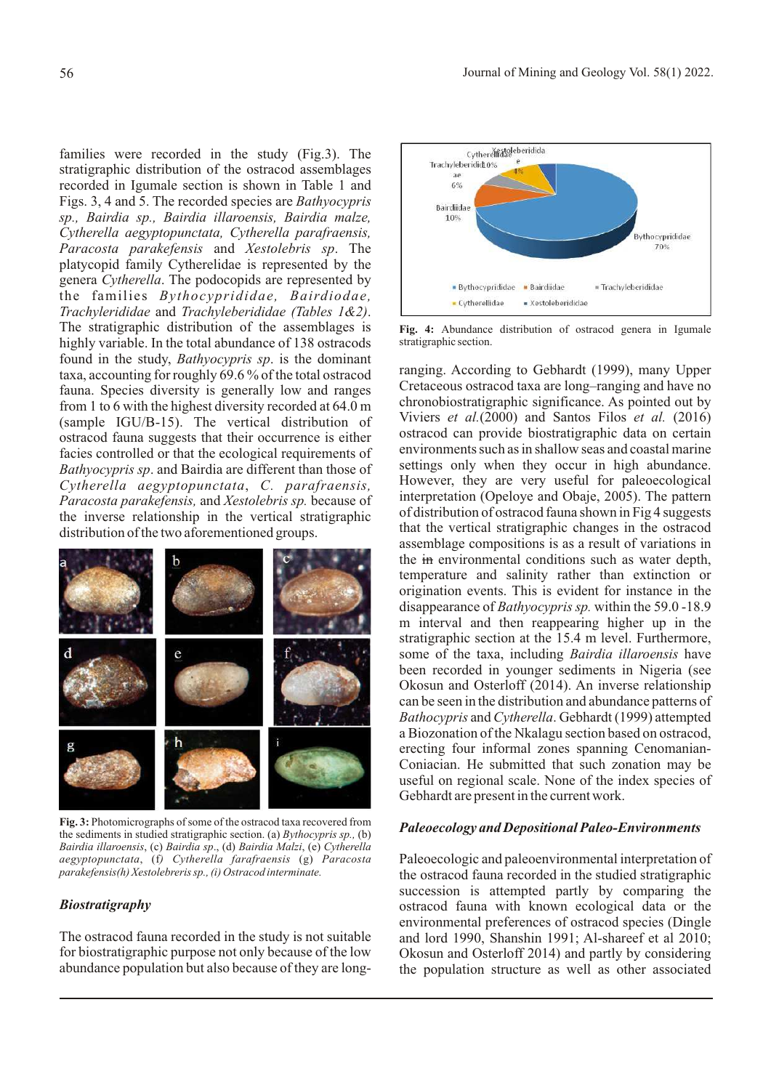families were recorded in the study (Fig.3). The stratigraphic distribution of the ostracod assemblages recorded in Igumale section is shown in Table 1 and Figs. 3, 4 and 5. The recorded species are *Bathyocypris sp., Bairdia sp., Bairdia illaroensis, Bairdia malze, Cytherella aegyptopunctata, Cytherella parafraensis, Paracosta parakefensis* and *Xestolebris sp*. The platycopid family Cytherelidae is represented by the genera *Cytherella*. The podocopids are represented by the families *Bythocyprididae, Bairdiodae, Trachylerididae* and *Trachyleberididae (Tables 1&2)*. The stratigraphic distribution of the assemblages is highly variable. In the total abundance of 138 ostracods found in the study, *Bathyocypris sp*. is the dominant taxa, accounting for roughly 69.6 % of the total ostracod fauna. Species diversity is generally low and ranges from 1 to 6 with the highest diversity recorded at 64.0 m (sample IGU/B-15). The vertical distribution of ostracod fauna suggests that their occurrence is either facies controlled or that the ecological requirements of *Bathyocypris sp*. and Bairdia are different than those of *Cytherella aegyptopunctata*, *C. parafraensis, Paracosta parakefensis,* and *Xestolebris sp.* because of the inverse relationship in the vertical stratigraphic distribution of the two aforementioned groups.



**Fig. 3:** Photomicrographs of some of the ostracod taxa recovered from the sediments in studied stratigraphic section. (a) *Bythocypris sp.,* (b) *Bairdia illaroensis*, (c) *Bairdia sp*., (d) *Bairdia Malzi*, (e) *Cytherella aegyptopunctata*, (f*) Cytherella farafraensis* (g) *Paracosta parakefensis(h) Xestolebreris sp., (i) Ostracod interminate.*

# *Biostratigraphy*

The ostracod fauna recorded in the study is not suitable for biostratigraphic purpose not only because of the low abundance population but also because of they are long-



**Fig. 4:** Abundance distribution of ostracod genera in Igumale stratigraphic section.

ranging. According to Gebhardt (1999), many Upper Cretaceous ostracod taxa are long–ranging and have no chronobiostratigraphic significance. As pointed out by Viviers *et al.*(2000) and Santos Filos *et al.* (2016) ostracod can provide biostratigraphic data on certain environments such as in shallow seas and coastal marine settings only when they occur in high abundance. However, they are very useful for paleoecological interpretation (Opeloye and Obaje, 2005). The pattern of distribution of ostracod fauna shown in Fig 4 suggests that the vertical stratigraphic changes in the ostracod assemblage compositions is as a result of variations in the in environmental conditions such as water depth, temperature and salinity rather than extinction or origination events. This is evident for instance in the disappearance of *Bathyocypris sp.* within the 59.0 -18.9 m interval and then reappearing higher up in the stratigraphic section at the 15.4 m level. Furthermore, some of the taxa, including *Bairdia illaroensis* have been recorded in younger sediments in Nigeria (see Okosun and Osterloff (2014). An inverse relationship can be seen in the distribution and abundance patterns of *Bathocypris* and *Cytherella*. Gebhardt (1999) attempted a Biozonation of the Nkalagu section based on ostracod, erecting four informal zones spanning Cenomanian-Coniacian. He submitted that such zonation may be useful on regional scale. None of the index species of Gebhardt are present in the current work.

# *Paleoecology and Depositional Paleo-Environments*

Paleoecologic and paleoenvironmental interpretation of the ostracod fauna recorded in the studied stratigraphic succession is attempted partly by comparing the ostracod fauna with known ecological data or the environmental preferences of ostracod species (Dingle and lord 1990, Shanshin 1991; Al-shareef et al 2010; Okosun and Osterloff 2014) and partly by considering the population structure as well as other associated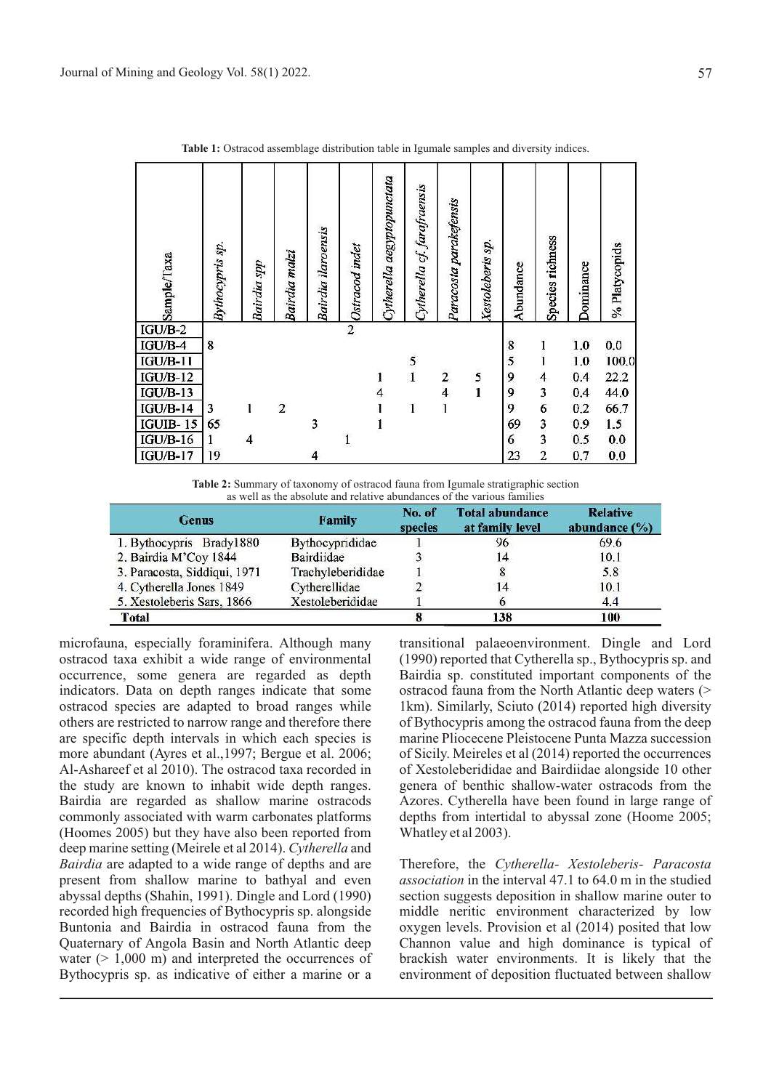| Sample/Taxa     | Bythocypris sp. | <b>Bairdia</b> spp       | Bairdia malzi  | <b>Bairdia</b> ilaroensis | Ostracod indet | Cytherella aegyptopunctata | Cytherella cf. farafraensis | Paracosta parakefensis | Xestoleberis sp. | Abundance | Species richness | Dominance | % Platycopids |
|-----------------|-----------------|--------------------------|----------------|---------------------------|----------------|----------------------------|-----------------------------|------------------------|------------------|-----------|------------------|-----------|---------------|
| $IGU/B-2$       |                 |                          |                |                           | $\overline{2}$ |                            |                             |                        |                  |           |                  |           |               |
| IGU/B-4         | 8               |                          |                |                           |                |                            |                             |                        |                  | 8         |                  | 1.0       | 0.0           |
| $IGU/B-11$      |                 |                          |                |                           |                |                            | $\frac{5}{1}$               |                        |                  | 5         |                  | 1,0       | 100.0         |
| $IGU/B-12$      |                 |                          |                |                           |                | 1                          |                             | $\overline{c}$         | 5                | 9         | 4                | 0.4       | 22.2          |
| $IGU/B-13$      |                 |                          |                |                           |                | 4                          |                             | 4                      | $\mathbf{I}$     | 9         | 3                | 0.4       | 44,0          |
| $IGU/B-14$      | 3               |                          | $\overline{2}$ |                           |                |                            | 1                           | 1                      |                  | 9         | 6                | 0.2       | 66.7          |
| <b>IGUIB-15</b> | 65              |                          |                | 3                         |                | 1                          |                             |                        |                  | 69        | 3                | 0.9       | 1.5           |
| $IGU/B-16$      | 1               | $\overline{\mathcal{A}}$ |                |                           | $\mathbf{1}$   |                            |                             |                        |                  | 6         | 3                | 0.5       | 0.0           |
| $IGU/B-17$      | 19              |                          |                | 4                         |                |                            |                             |                        |                  | 23        | $\overline{c}$   | 0.7       | 0.0           |

Table 1: Ostracod assemblage distribution table in Igumale samples and diversity indices.

**Table 2:** Summary of taxonomy of ostracod fauna from Igumale stratigraphic section as well as the absolute and relative abundances of the various families

| <b>Genus</b>                 | <b>Family</b>     | No. of<br>species | <b>Total abundance</b><br>at family level | <b>Relative</b><br>abundance $(\% )$ |
|------------------------------|-------------------|-------------------|-------------------------------------------|--------------------------------------|
| 1. Bythocypris Brady1880     | Bythocyprididae   |                   | 96                                        | 69.6                                 |
| 2. Bairdia M'Coy 1844        | <b>Bairdiidae</b> |                   | 14                                        | 10.1                                 |
| 3. Paracosta, Siddiqui, 1971 | Trachyleberididae |                   |                                           | 5.8                                  |
| 4. Cytherella Jones 1849     | Cytherellidae     |                   | 14                                        | 10.1                                 |
| 5. Xestoleberis Sars, 1866   | Xestoleberididae  |                   |                                           | 4.4                                  |
| <b>Total</b>                 |                   |                   | 138                                       | 100                                  |

microfauna, especially foraminifera. Although many ostracod taxa exhibit a wide range of environmental occurrence, some genera are regarded as depth indicators. Data on depth ranges indicate that some ostracod species are adapted to broad ranges while others are restricted to narrow range and therefore there are specific depth intervals in which each species is more abundant (Ayres et al.,1997; Bergue et al. 2006; Al-Ashareef et al 2010). The ostracod taxa recorded in the study are known to inhabit wide depth ranges. Bairdia are regarded as shallow marine ostracods commonly associated with warm carbonates platforms (Hoomes 2005) but they have also been reported from deep marine setting (Meirele et al 2014). *Cytherella* and *Bairdia* are adapted to a wide range of depths and are present from shallow marine to bathyal and even abyssal depths (Shahin, 1991). Dingle and Lord (1990) recorded high frequencies of Bythocypris sp. alongside Buntonia and Bairdia in ostracod fauna from the Quaternary of Angola Basin and North Atlantic deep water  $(> 1,000 \text{ m})$  and interpreted the occurrences of Bythocypris sp. as indicative of either a marine or a transitional palaeoenvironment. Dingle and Lord (1990) reported that Cytherella sp., Bythocypris sp. and Bairdia sp. constituted important components of the ostracod fauna from the North Atlantic deep waters (> 1km). Similarly, Sciuto (2014) reported high diversity of Bythocypris among the ostracod fauna from the deep marine Pliocecene Pleistocene Punta Mazza succession of Sicily. Meireles et al (2014) reported the occurrences of Xestoleberididae and Bairdiidae alongside 10 other genera of benthic shallow-water ostracods from the Azores. Cytherella have been found in large range of depths from intertidal to abyssal zone (Hoome 2005; Whatley et al 2003).

Therefore, the *Cytherella- Xestoleberis- Paracosta association* in the interval 47.1 to 64.0 m in the studied section suggests deposition in shallow marine outer to middle neritic environment characterized by low oxygen levels. Provision et al (2014) posited that low Channon value and high dominance is typical of brackish water environments. It is likely that the environment of deposition fluctuated between shallow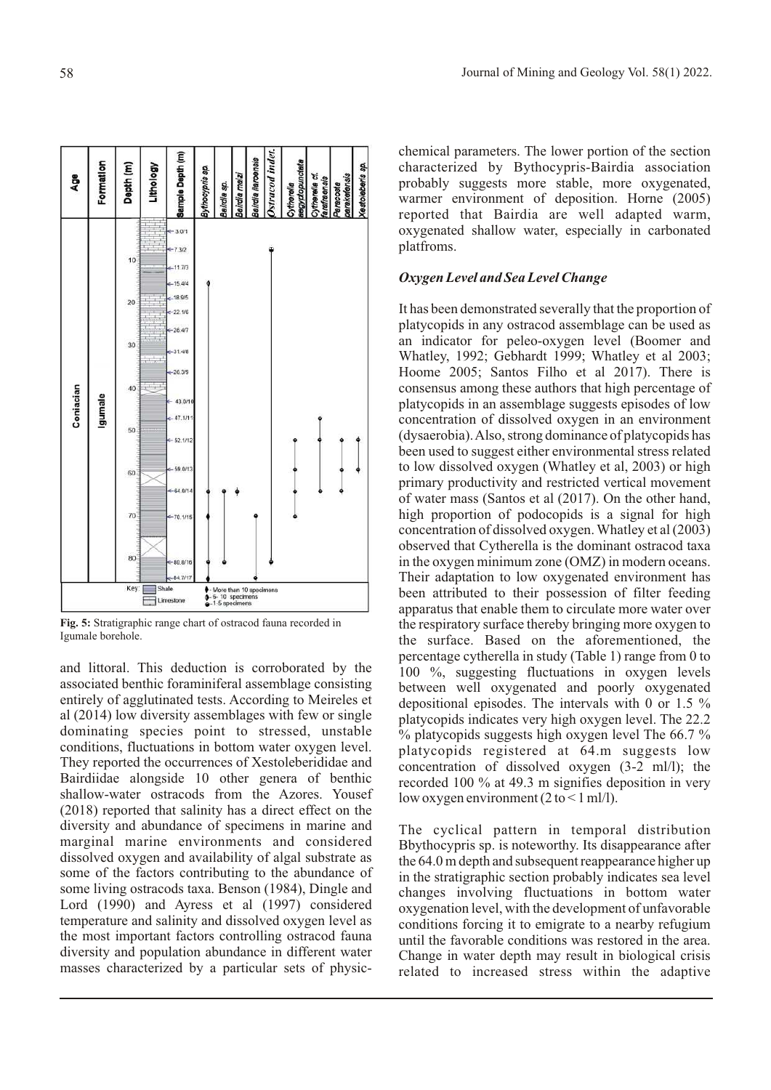

**Fig. 5:** Stratigraphic range chart of ostracod fauna recorded in Igumale borehole.

and littoral. This deduction is corroborated by the associated benthic foraminiferal assemblage consisting entirely of agglutinated tests. According to Meireles et al (2014) low diversity assemblages with few or single dominating species point to stressed, unstable conditions, fluctuations in bottom water oxygen level. They reported the occurrences of Xestoleberididae and Bairdiidae alongside 10 other genera of benthic shallow-water ostracods from the Azores. Yousef (2018) reported that salinity has a direct effect on the diversity and abundance of specimens in marine and marginal marine environments and considered dissolved oxygen and availability of algal substrate as some of the factors contributing to the abundance of some living ostracods taxa. Benson (1984), Dingle and Lord (1990) and Ayress et al (1997) considered temperature and salinity and dissolved oxygen level as the most important factors controlling ostracod fauna diversity and population abundance in different water masses characterized by a particular sets of physicchemical parameters. The lower portion of the section characterized by Bythocypris-Bairdia association probably suggests more stable, more oxygenated, warmer environment of deposition. Horne (2005) reported that Bairdia are well adapted warm, oxygenated shallow water, especially in carbonated platfroms.

# *Oxygen Level and Sea Level Change*

It has been demonstrated severally that the proportion of platycopids in any ostracod assemblage can be used as an indicator for peleo-oxygen level (Boomer and Whatley, 1992; Gebhardt 1999; Whatley et al 2003; Hoome 2005; Santos Filho et al 2017). There is consensus among these authors that high percentage of platycopids in an assemblage suggests episodes of low concentration of dissolved oxygen in an environment (dysaerobia). Also, strong dominance of platycopids has been used to suggest either environmental stress related to low dissolved oxygen (Whatley et al, 2003) or high primary productivity and restricted vertical movement of water mass (Santos et al (2017). On the other hand, high proportion of podocopids is a signal for high concentration of dissolved oxygen. Whatley et al (2003) observed that Cytherella is the dominant ostracod taxa in the oxygen minimum zone (OMZ) in modern oceans. Their adaptation to low oxygenated environment has been attributed to their possession of filter feeding apparatus that enable them to circulate more water over the respiratory surface thereby bringing more oxygen to the surface. Based on the aforementioned, the percentage cytherella in study (Table 1) range from 0 to 100 %, suggesting fluctuations in oxygen levels between well oxygenated and poorly oxygenated depositional episodes. The intervals with 0 or 1.5 % platycopids indicates very high oxygen level. The 22.2 % platycopids suggests high oxygen level The 66.7 % platycopids registered at 64.m suggests low concentration of dissolved oxygen (3-2 ml/l); the recorded 100 % at 49.3 m signifies deposition in very low oxygen environment  $(2 \text{ to } < 1 \text{ ml/l})$ .

The cyclical pattern in temporal distribution Bbythocypris sp. is noteworthy. Its disappearance after the 64.0 m depth and subsequent reappearance higher up in the stratigraphic section probably indicates sea level changes involving fluctuations in bottom water oxygenation level, with the development of unfavorable conditions forcing it to emigrate to a nearby refugium until the favorable conditions was restored in the area. Change in water depth may result in biological crisis related to increased stress within the adaptive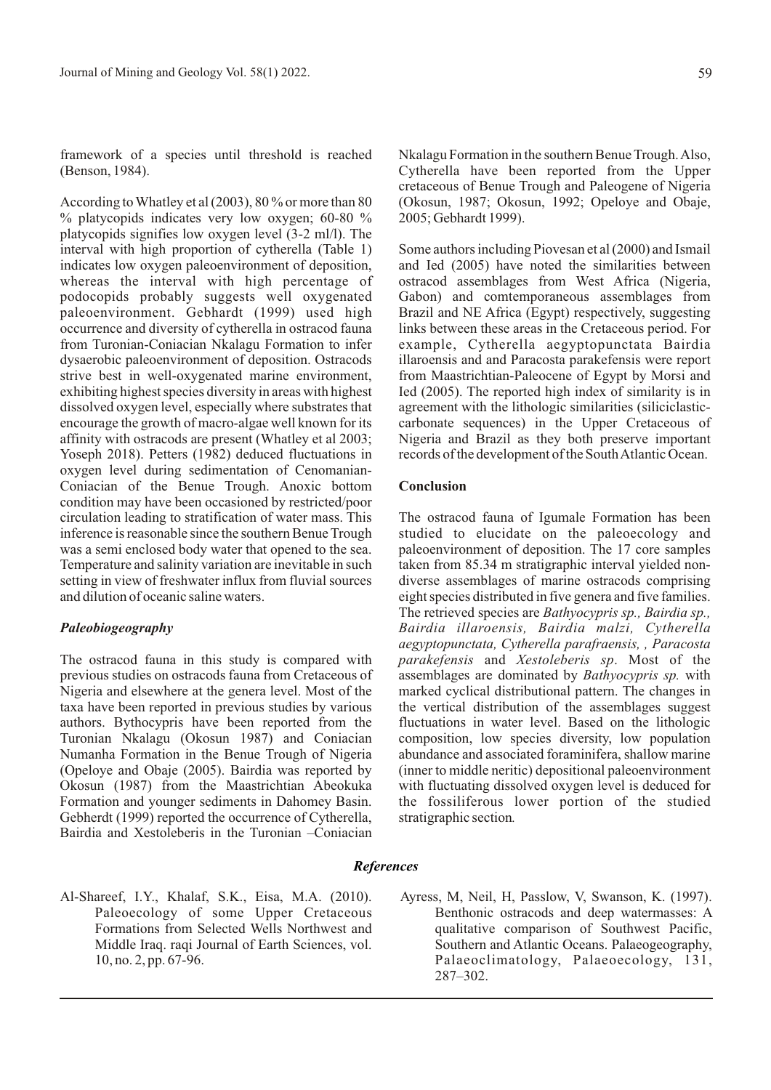framework of a species until threshold is reached (Benson, 1984).

According to Whatley et al (2003), 80 % or more than 80  $%$  platycopids indicates very low oxygen; 60-80  $%$ platycopids signifies low oxygen level (3-2 ml/l). The interval with high proportion of cytherella (Table 1) indicates low oxygen paleoenvironment of deposition, whereas the interval with high percentage of podocopids probably suggests well oxygenated paleoenvironment. Gebhardt (1999) used high occurrence and diversity of cytherella in ostracod fauna from Turonian-Coniacian Nkalagu Formation to infer dysaerobic paleoenvironment of deposition. Ostracods strive best in well-oxygenated marine environment, exhibiting highest species diversity in areas with highest dissolved oxygen level, especially where substrates that encourage the growth of macro-algae well known for its affinity with ostracods are present (Whatley et al 2003; Yoseph 2018). Petters (1982) deduced fluctuations in oxygen level during sedimentation of Cenomanian-Coniacian of the Benue Trough. Anoxic bottom condition may have been occasioned by restricted/poor circulation leading to stratification of water mass. This inference is reasonable since the southern Benue Trough was a semi enclosed body water that opened to the sea. Temperature and salinity variation are inevitable in such setting in view of freshwater influx from fluvial sources and dilution of oceanic saline waters.

# *Paleobiogeography*

The ostracod fauna in this study is compared with previous studies on ostracods fauna from Cretaceous of Nigeria and elsewhere at the genera level. Most of the taxa have been reported in previous studies by various authors. Bythocypris have been reported from the Turonian Nkalagu (Okosun 1987) and Coniacian Numanha Formation in the Benue Trough of Nigeria (Opeloye and Obaje (2005). Bairdia was reported by Okosun (1987) from the Maastrichtian Abeokuka Formation and younger sediments in Dahomey Basin. Gebherdt (1999) reported the occurrence of Cytherella, Bairdia and Xestoleberis in the Turonian –Coniacian

Nkalagu Formation in the southern Benue Trough. Also, Cytherella have been reported from the Upper cretaceous of Benue Trough and Paleogene of Nigeria (Okosun, 1987; Okosun, 1992; Opeloye and Obaje, 2005; Gebhardt 1999).

Some authors including Piovesan et al (2000) and Ismail and Ied (2005) have noted the similarities between ostracod assemblages from West Africa (Nigeria, Gabon) and comtemporaneous assemblages from Brazil and NE Africa (Egypt) respectively, suggesting links between these areas in the Cretaceous period. For example, Cytherella aegyptopunctata Bairdia illaroensis and and Paracosta parakefensis were report from Maastrichtian-Paleocene of Egypt by Morsi and Ied (2005). The reported high index of similarity is in agreement with the lithologic similarities (siliciclasticcarbonate sequences) in the Upper Cretaceous of Nigeria and Brazil as they both preserve important records of the development of the South Atlantic Ocean.

# **Conclusion**

The ostracod fauna of Igumale Formation has been studied to elucidate on the paleoecology and paleoenvironment of deposition. The 17 core samples taken from 85.34 m stratigraphic interval yielded nondiverse assemblages of marine ostracods comprising eight species distributed in five genera and five families. The retrieved species are *Bathyocypris sp., Bairdia sp., Bairdia illaroensis, Bairdia malzi, Cytherella aegyptopunctata, Cytherella parafraensis, , Paracosta parakefensis* and *Xestoleberis sp*. Most of the assemblages are dominated by *Bathyocypris sp.* with marked cyclical distributional pattern. The changes in the vertical distribution of the assemblages suggest fluctuations in water level. Based on the lithologic composition, low species diversity, low population abundance and associated foraminifera, shallow marine (inner to middle neritic) depositional paleoenvironment with fluctuating dissolved oxygen level is deduced for the fossiliferous lower portion of the studied stratigraphic section*.*

# *References*

- Al-Shareef, I.Y., Khalaf, S.K., Eisa, M.A. (2010). Paleoecology of some Upper Cretaceous Formations from Selected Wells Northwest and Middle Iraq. raqi Journal of Earth Sciences, vol. 10, no. 2, pp. 67-96.
- Ayress, M, Neil, H, Passlow, V, Swanson, K. (1997). Benthonic ostracods and deep watermasses: A qualitative comparison of Southwest Pacific, Southern and Atlantic Oceans. Palaeogeography, Palaeoclimatology, Palaeoecology, 131, 287–302.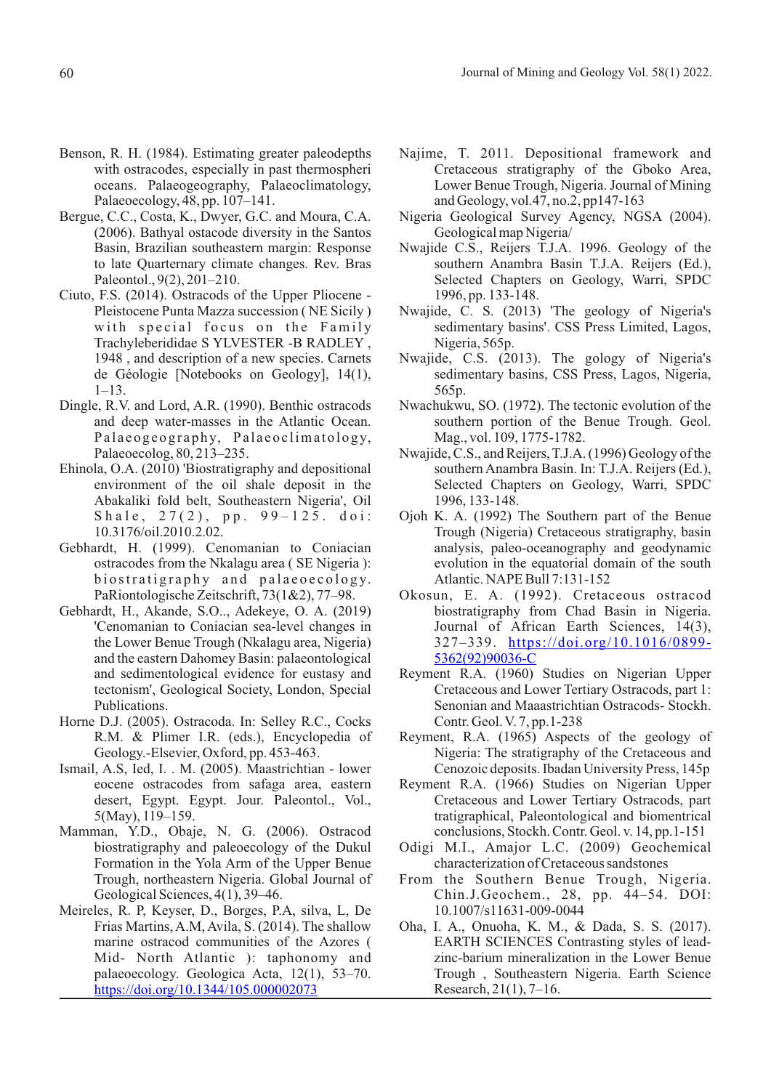- Benson, R. H. (1984). Estimating greater paleodepths with ostracodes, especially in past thermospheri oceans. Palaeogeography, Palaeoclimatology, Palaeoecology, 48, pp. 107–141.
- Bergue, C.C., Costa, K., Dwyer, G.C. and Moura, C.A. (2006). Bathyal ostacode diversity in the Santos Basin, Brazilian southeastern margin: Response to late Quarternary climate changes. Rev. Bras Paleontol., 9(2), 201–210.
- Ciuto, F.S. (2014). Ostracods of the Upper Pliocene Pleistocene Punta Mazza succession ( NE Sicily ) with special focus on the Family Trachyleberididae S YLVESTER -B RADLEY , 1948 , and description of a new species. Carnets de Géologie [Notebooks on Geology], 14(1), 1–13.
- Dingle, R.V. and Lord, A.R. (1990). Benthic ostracods and deep water-masses in the Atlantic Ocean. Palaeogeography, Palaeoclimatology, Palaeoecolog, 80, 213–235.
- Ehinola, O.A. (2010) 'Biostratigraphy and depositional environment of the oil shale deposit in the Abakaliki fold belt, Southeastern Nigeria', Oil Shale,  $27(2)$ , pp.  $99-125$ . doi: 10.3176/oil.2010.2.02.
- Gebhardt, H. (1999). Cenomanian to Coniacian ostracodes from the Nkalagu area ( SE Nigeria ): biostratigraphy and palaeoecology. PaRiontologische Zeitschrift, 73(1&2), 77–98.
- Gebhardt, H., Akande, S.O.., Adekeye, O. A. (2019) 'Cenomanian to Coniacian sea-level changes in the Lower Benue Trough (Nkalagu area, Nigeria) and the eastern Dahomey Basin: palaeontological and sedimentological evidence for eustasy and tectonism', Geological Society, London, Special Publications.
- Horne D.J. (2005). Ostracoda. In: Selley R.C., Cocks R.M. & Plimer I.R. (eds.), Encyclopedia of Geology.-Elsevier, Oxford, pp. 453-463.
- Ismail, A.S, Ied, I. . M. (2005). Maastrichtian lower eocene ostracodes from safaga area, eastern desert, Egypt. Egypt. Jour. Paleontol., Vol., 5(May), 119–159.
- Mamman, Y.D., Obaje, N. G. (2006). Ostracod biostratigraphy and paleoecology of the Dukul Formation in the Yola Arm of the Upper Benue Trough, northeastern Nigeria. Global Journal of Geological Sciences, 4(1), 39–46.
- Meireles, R. P, Keyser, D., Borges, P.A, silva, L, De Frias Martins, A.M, Avila, S. (2014). The shallow marine ostracod communities of the Azores ( Mid- North Atlantic ): taphonomy and palaeoecology. Geologica Acta, 12(1), 53–70. https://doi.org/10.1344/105.000002073
- Najime, T. 2011. Depositional framework and Cretaceous stratigraphy of the Gboko Area, Lower Benue Trough, Nigeria. Journal of Mining and Geology, vol.47, no.2, pp147-163
- Nigeria Geological Survey Agency, NGSA (2004). Geological map Nigeria/
- Nwajide C.S., Reijers T.J.A. 1996. Geology of the southern Anambra Basin T.J.A. Reijers (Ed.), Selected Chapters on Geology, Warri, SPDC 1996, pp. 133-148.
- Nwajide, C. S. (2013) 'The geology of Nigeria's sedimentary basins'. CSS Press Limited, Lagos, Nigeria, 565p.
- Nwajide, C.S. (2013). The gology of Nigeria's sedimentary basins, CSS Press, Lagos, Nigeria, 565p.
- Nwachukwu, SO. (1972). The tectonic evolution of the southern portion of the Benue Trough. Geol. Mag., vol. 109, 1775-1782.
- Nwajide, C.S., and Reijers, T.J.A. (1996) Geology of the southern Anambra Basin. In: T.J.A. Reijers (Ed.), Selected Chapters on Geology, Warri, SPDC 1996, 133-148.
- Ojoh K. A. (1992) The Southern part of the Benue Trough (Nigeria) Cretaceous stratigraphy, basin analysis, paleo-oceanography and geodynamic evolution in the equatorial domain of the south Atlantic. NAPE Bull 7:131-152
- Okosun, E. A. (1992). Cretaceous ostracod biostratigraphy from Chad Basin in Nigeria. Journal of African Earth Sciences, 14(3), 327–339. https://doi.org/10.1016/0899- 5362(92)90036-C
- Reyment R.A. (1960) Studies on Nigerian Upper Cretaceous and Lower Tertiary Ostracods, part 1: Senonian and Maaastrichtian Ostracods- Stockh. Contr. Geol. V. 7, pp.1-238
- Reyment, R.A. (1965) Aspects of the geology of Nigeria: The stratigraphy of the Cretaceous and Cenozoic deposits. Ibadan University Press, 145p
- Reyment R.A. (1966) Studies on Nigerian Upper Cretaceous and Lower Tertiary Ostracods, part tratigraphical, Paleontological and biomentrical conclusions, Stockh. Contr. Geol. v. 14, pp.1-151
- Odigi M.I., Amajor L.C. (2009) Geochemical characterization of Cretaceous sandstones
- From the Southern Benue Trough, Nigeria. Chin.J.Geochem., 28, pp. 44–54. DOI: 10.1007/s11631-009-0044
- Oha, I. A., Onuoha, K. M., & Dada, S. S. (2017). EARTH SCIENCES Contrasting styles of leadzinc-barium mineralization in the Lower Benue Trough , Southeastern Nigeria. Earth Science Research, 21(1), 7–16.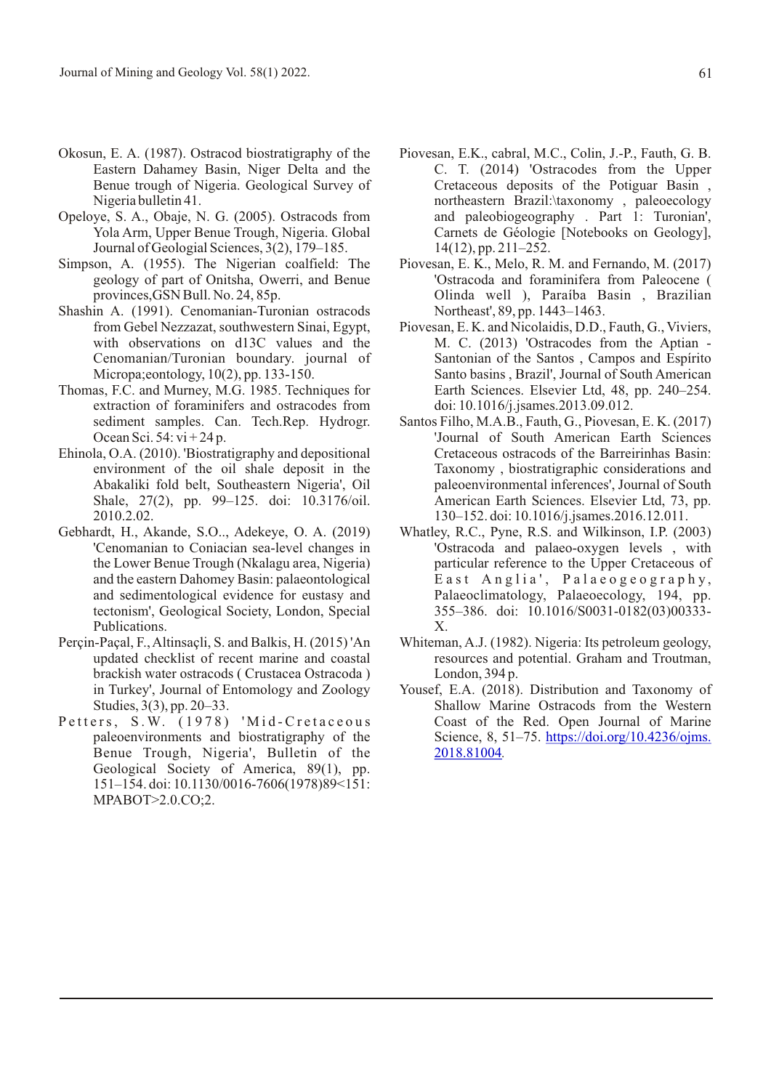- Okosun, E. A. (1987). Ostracod biostratigraphy of the Eastern Dahamey Basin, Niger Delta and the Benue trough of Nigeria. Geological Survey of Nigeria bulletin 41.
- Opeloye, S. A., Obaje, N. G. (2005). Ostracods from Yola Arm, Upper Benue Trough, Nigeria. Global Journal of Geologial Sciences, 3(2), 179–185.
- Simpson, A. (1955). The Nigerian coalfield: The geology of part of Onitsha, Owerri, and Benue provinces,GSN Bull. No. 24, 85p.
- Shashin A. (1991). Cenomanian-Turonian ostracods from Gebel Nezzazat, southwestern Sinai, Egypt, with observations on d13C values and the Cenomanian/Turonian boundary. journal of Micropa;eontology, 10(2), pp. 133-150.
- Thomas, F.C. and Murney, M.G. 1985. Techniques for extraction of foraminifers and ostracodes from sediment samples. Can. Tech.Rep. Hydrogr. Ocean Sci. 54:  $vi + 24p$ .
- Ehinola, O.A. (2010). 'Biostratigraphy and depositional environment of the oil shale deposit in the Abakaliki fold belt, Southeastern Nigeria', Oil Shale, 27(2), pp. 99–125. doi: 10.3176/oil. 2010.2.02.
- Gebhardt, H., Akande, S.O.., Adekeye, O. A. (2019) 'Cenomanian to Coniacian sea-level changes in the Lower Benue Trough (Nkalagu area, Nigeria) and the eastern Dahomey Basin: palaeontological and sedimentological evidence for eustasy and tectonism', Geological Society, London, Special Publications.
- Perçin-Paçal, F., Altinsaçli, S. and Balkis, H. (2015) 'An updated checklist of recent marine and coastal brackish water ostracods ( Crustacea Ostracoda ) in Turkey', Journal of Entomology and Zoology Studies, 3(3), pp. 20–33.
- Petters, S.W. (1978) 'Mid-Cretaceous paleoenvironments and biostratigraphy of the Benue Trough, Nigeria', Bulletin of the Geological Society of America, 89(1), pp. 151–154. doi: 10.1130/0016-7606(1978)89<151: MPABOT>2.0.CO;2.
- Piovesan, E.K., cabral, M.C., Colin, J.-P., Fauth, G. B. C. T. (2014) 'Ostracodes from the Upper Cretaceous deposits of the Potiguar Basin , northeastern Brazil:\taxonomy , paleoecology and paleobiogeography . Part 1: Turonian', Carnets de Géologie [Notebooks on Geology], 14(12), pp. 211–252.
- Piovesan, E. K., Melo, R. M. and Fernando, M. (2017) 'Ostracoda and foraminifera from Paleocene ( Olinda well ), Paraíba Basin , Brazilian Northeast', 89, pp. 1443–1463.
- Piovesan, E. K. and Nicolaidis, D.D., Fauth, G., Viviers, M. C. (2013) 'Ostracodes from the Aptian - Santonian of the Santos , Campos and Espírito Santo basins , Brazil', Journal of South American Earth Sciences. Elsevier Ltd, 48, pp. 240–254. doi: 10.1016/j.jsames.2013.09.012.
- Santos Filho, M.A.B., Fauth, G., Piovesan, E. K. (2017) 'Journal of South American Earth Sciences Cretaceous ostracods of the Barreirinhas Basin: Taxonomy , biostratigraphic considerations and paleoenvironmental inferences', Journal of South American Earth Sciences. Elsevier Ltd, 73, pp. 130–152. doi: 10.1016/j.jsames.2016.12.011.
- Whatley, R.C., Pyne, R.S. and Wilkinson, I.P. (2003) 'Ostracoda and palaeo-oxygen levels , with particular reference to the Upper Cretaceous of East Anglia', Palaeogeography, Palaeoclimatology, Palaeoecology, 194, pp. 355–386. doi: 10.1016/S0031-0182(03)00333- X.
- Whiteman, A.J. (1982). Nigeria: Its petroleum geology, resources and potential. Graham and Troutman, London, 394 p.
- Yousef, E.A. (2018). Distribution and Taxonomy of Shallow Marine Ostracods from the Western Coast of the Red. Open Journal of Marine Science, 8, 51–75. https://doi.org/10.4236/ojms. *.* 2018.81004